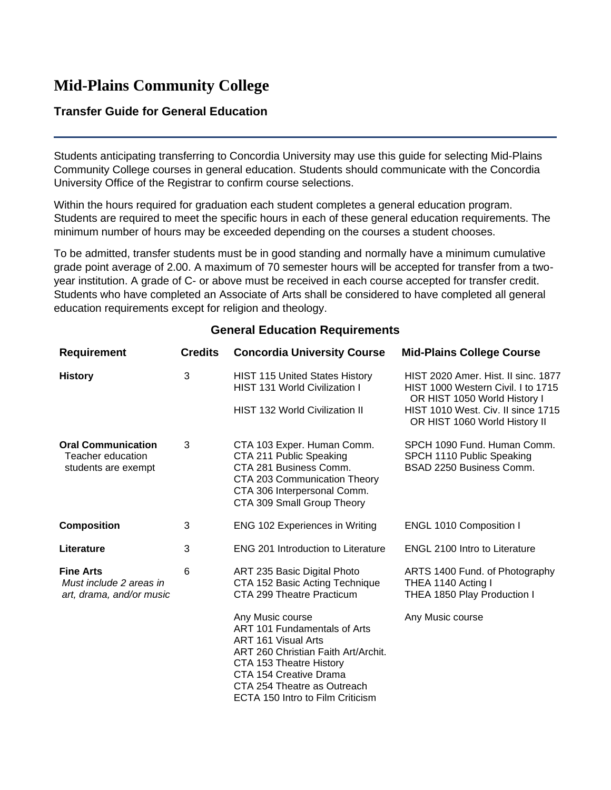## **Mid-Plains Community College**

## **Transfer Guide for General Education**

Students anticipating transferring to Concordia University may use this guide for selecting Mid-Plains Community College courses in general education. Students should communicate with the Concordia University Office of the Registrar to confirm course selections.

Within the hours required for graduation each student completes a general education program. Students are required to meet the specific hours in each of these general education requirements. The minimum number of hours may be exceeded depending on the courses a student chooses.

To be admitted, transfer students must be in good standing and normally have a minimum cumulative grade point average of 2.00. A maximum of 70 semester hours will be accepted for transfer from a twoyear institution. A grade of C- or above must be received in each course accepted for transfer credit. Students who have completed an Associate of Arts shall be considered to have completed all general education requirements except for religion and theology.

| <b>Requirement</b>                                                      | <b>Credits</b> | <b>Concordia University Course</b>                                                                                                                                                                                                     | <b>Mid-Plains College Course</b>                                                                                                                                                 |
|-------------------------------------------------------------------------|----------------|----------------------------------------------------------------------------------------------------------------------------------------------------------------------------------------------------------------------------------------|----------------------------------------------------------------------------------------------------------------------------------------------------------------------------------|
| <b>History</b>                                                          | 3              | <b>HIST 115 United States History</b><br><b>HIST 131 World Civilization I</b><br><b>HIST 132 World Civilization II</b>                                                                                                                 | HIST 2020 Amer. Hist. II sinc. 1877<br>HIST 1000 Western Civil. I to 1715<br>OR HIST 1050 World History I<br>HIST 1010 West. Civ. II since 1715<br>OR HIST 1060 World History II |
| <b>Oral Communication</b><br>Teacher education<br>students are exempt   | 3              | CTA 103 Exper. Human Comm.<br>CTA 211 Public Speaking<br>CTA 281 Business Comm.<br>CTA 203 Communication Theory<br>CTA 306 Interpersonal Comm.<br>CTA 309 Small Group Theory                                                           | SPCH 1090 Fund. Human Comm.<br>SPCH 1110 Public Speaking<br>BSAD 2250 Business Comm.                                                                                             |
| <b>Composition</b>                                                      | 3              | <b>ENG 102 Experiences in Writing</b>                                                                                                                                                                                                  | <b>ENGL 1010 Composition I</b>                                                                                                                                                   |
| Literature                                                              | 3              | <b>ENG 201 Introduction to Literature</b>                                                                                                                                                                                              | <b>ENGL 2100 Intro to Literature</b>                                                                                                                                             |
| <b>Fine Arts</b><br>Must include 2 areas in<br>art, drama, and/or music | 6              | ART 235 Basic Digital Photo<br>CTA 152 Basic Acting Technique<br>CTA 299 Theatre Practicum                                                                                                                                             | ARTS 1400 Fund. of Photography<br>THEA 1140 Acting I<br>THEA 1850 Play Production I                                                                                              |
|                                                                         |                | Any Music course<br>ART 101 Fundamentals of Arts<br>ART 161 Visual Arts<br>ART 260 Christian Faith Art/Archit.<br>CTA 153 Theatre History<br>CTA 154 Creative Drama<br>CTA 254 Theatre as Outreach<br>ECTA 150 Intro to Film Criticism | Any Music course                                                                                                                                                                 |

## **General Education Requirements**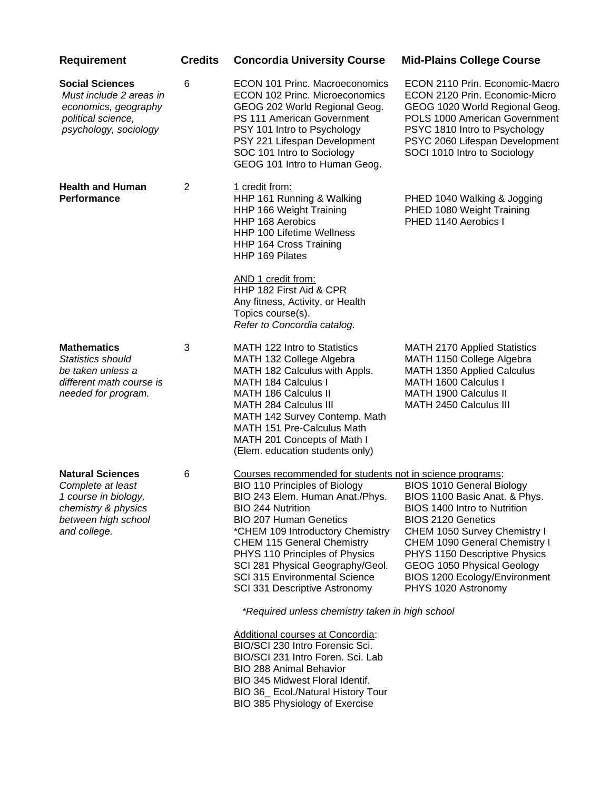| <b>Requirement</b>                                                                                                                 | <b>Credits</b> | <b>Concordia University Course</b>                                                                                                                                                                                                                                                                                                                                                                                                                                                                                                                                                                                                                     | <b>Mid-Plains College Course</b>                                                                                                                                                                                                                                                                                       |
|------------------------------------------------------------------------------------------------------------------------------------|----------------|--------------------------------------------------------------------------------------------------------------------------------------------------------------------------------------------------------------------------------------------------------------------------------------------------------------------------------------------------------------------------------------------------------------------------------------------------------------------------------------------------------------------------------------------------------------------------------------------------------------------------------------------------------|------------------------------------------------------------------------------------------------------------------------------------------------------------------------------------------------------------------------------------------------------------------------------------------------------------------------|
| <b>Social Sciences</b><br>Must include 2 areas in<br>economics, geography<br>political science,<br>psychology, sociology           | 6              | <b>ECON 101 Princ. Macroeconomics</b><br><b>ECON 102 Princ. Microeconomics</b><br>GEOG 202 World Regional Geog.<br>PS 111 American Government<br>PSY 101 Intro to Psychology<br>PSY 221 Lifespan Development<br>SOC 101 Intro to Sociology<br>GEOG 101 Intro to Human Geog.                                                                                                                                                                                                                                                                                                                                                                            | ECON 2110 Prin. Economic-Macro<br>ECON 2120 Prin. Economic-Micro<br>GEOG 1020 World Regional Geog.<br>POLS 1000 American Government<br>PSYC 1810 Intro to Psychology<br>PSYC 2060 Lifespan Development<br>SOCI 1010 Intro to Sociology                                                                                 |
| <b>Health and Human</b><br>Performance                                                                                             | $\overline{2}$ | 1 credit from:<br>HHP 161 Running & Walking<br>HHP 166 Weight Training<br><b>HHP 168 Aerobics</b><br>HHP 100 Lifetime Wellness<br>HHP 164 Cross Training<br><b>HHP 169 Pilates</b><br>AND 1 credit from:<br>HHP 182 First Aid & CPR<br>Any fitness, Activity, or Health<br>Topics course(s).<br>Refer to Concordia catalog.                                                                                                                                                                                                                                                                                                                            | PHED 1040 Walking & Jogging<br>PHED 1080 Weight Training<br>PHED 1140 Aerobics I                                                                                                                                                                                                                                       |
| <b>Mathematics</b><br>Statistics should<br>be taken unless a<br>different math course is<br>needed for program.                    | 3              | MATH 122 Intro to Statistics<br>MATH 132 College Algebra<br>MATH 182 Calculus with Appls.<br><b>MATH 184 Calculus I</b><br><b>MATH 186 Calculus II</b><br>MATH 284 Calculus III<br>MATH 142 Survey Contemp. Math<br>MATH 151 Pre-Calculus Math<br>MATH 201 Concepts of Math I<br>(Elem. education students only)                                                                                                                                                                                                                                                                                                                                       | <b>MATH 2170 Applied Statistics</b><br>MATH 1150 College Algebra<br><b>MATH 1350 Applied Calculus</b><br>MATH 1600 Calculus I<br>MATH 1900 Calculus II<br>MATH 2450 Calculus III                                                                                                                                       |
| <b>Natural Sciences</b><br>Complete at least<br>1 course in biology,<br>chemistry & physics<br>between high school<br>and college. | 6              | Courses recommended for students not in science programs:<br>BIO 110 Principles of Biology<br>BIO 243 Elem. Human Anat./Phys.<br><b>BIO 244 Nutrition</b><br><b>BIO 207 Human Genetics</b><br>*CHEM 109 Introductory Chemistry<br><b>CHEM 115 General Chemistry</b><br>PHYS 110 Principles of Physics<br>SCI 281 Physical Geography/Geol.<br><b>SCI 315 Environmental Science</b><br>SCI 331 Descriptive Astronomy<br>*Required unless chemistry taken in high school<br>Additional courses at Concordia:<br>BIO/SCI 230 Intro Forensic Sci.<br>BIO/SCI 231 Intro Foren. Sci. Lab<br><b>BIO 288 Animal Behavior</b><br>BIO 345 Midwest Floral Identif. | <b>BIOS 1010 General Biology</b><br>BIOS 1100 Basic Anat. & Phys.<br>BIOS 1400 Intro to Nutrition<br><b>BIOS 2120 Genetics</b><br>CHEM 1050 Survey Chemistry I<br>CHEM 1090 General Chemistry I<br>PHYS 1150 Descriptive Physics<br>GEOG 1050 Physical Geology<br>BIOS 1200 Ecology/Environment<br>PHYS 1020 Astronomy |

BIO 36\_ Ecol./Natural History Tour

BIO 385 Physiology of Exercise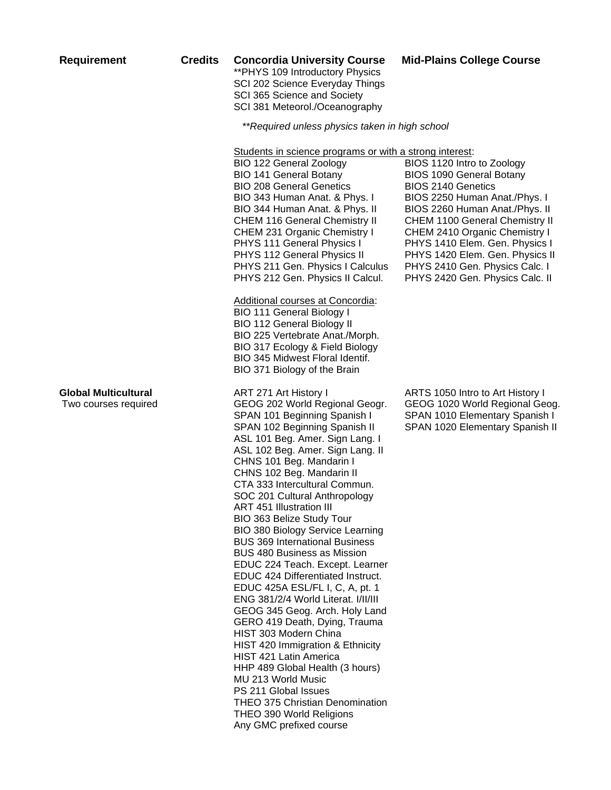|  | <b>Requirement</b> |  |
|--|--------------------|--|

## **Requirement Credits Concordia University Course Mid-Plains College Course**

\*\*PHYS 109 Introductory Physics SCI 202 Science Everyday Things SCI 365 Science and Society SCI 381 Meteorol./Oceanography

 *\*\*Required unless physics taken in high school*

Students in science programs or with a strong interest:

| <b>BIO 122 General Zoology</b>       | BIOS 1120 Intro to Zoology            |
|--------------------------------------|---------------------------------------|
| <b>BIO 141 General Botany</b>        | <b>BIOS 1090 General Botany</b>       |
| <b>BIO 208 General Genetics</b>      | <b>BIOS 2140 Genetics</b>             |
| BIO 343 Human Anat. & Phys. I        | BIOS 2250 Human Anat./Phys. I         |
| BIO 344 Human Anat. & Phys. II       | BIOS 2260 Human Anat./Phys. II        |
| <b>CHEM 116 General Chemistry II</b> | <b>CHEM 1100 General Chemistry II</b> |
| CHEM 231 Organic Chemistry I         | CHEM 2410 Organic Chemistry I         |
| PHYS 111 General Physics I           | PHYS 1410 Elem. Gen. Physics I        |
| PHYS 112 General Physics II          | PHYS 1420 Elem. Gen. Physics II       |
| PHYS 211 Gen. Physics I Calculus     | PHYS 2410 Gen. Physics Calc. I        |
| PHYS 212 Gen. Physics II Calcul.     | PHYS 2420 Gen. Physics Calc. II       |

Additional courses at Concordia: BIO 111 General Biology I BIO 112 General Biology II BIO 225 Vertebrate Anat./Morph. BIO 317 Ecology & Field Biology BIO 345 Midwest Floral Identif. BIO 371 Biology of the Brain

**Global Multicultural** ART 271 Art History I ARTS 1050 Intro to Art History I Two courses required GEOG 202 World Regional Geogr. GEOG 1020 World Regional Geog. SPAN 101 Beginning Spanish I SPAN 1010 Elementary Spanish I SPAN 102 Beginning Spanish II SPAN 1020 Elementary Spanish II ASL 101 Beg. Amer. Sign Lang. I ASL 102 Beg. Amer. Sign Lang. II CHNS 101 Beg. Mandarin I CHNS 102 Beg. Mandarin II CTA 333 Intercultural Commun. SOC 201 Cultural Anthropology ART 451 Illustration III BIO 363 Belize Study Tour BIO 380 Biology Service Learning BUS 369 International Business BUS 480 Business as Mission EDUC 224 Teach. Except. Learner EDUC 424 Differentiated Instruct. EDUC 425A ESL/FL I, C, A, pt. 1 ENG 381/2/4 World Literat. I/II/III GEOG 345 Geog. Arch. Holy Land GERO 419 Death, Dying, Trauma HIST 303 Modern China HIST 420 Immigration & Ethnicity HIST 421 Latin America HHP 489 Global Health (3 hours) MU 213 World Music PS 211 Global Issues THEO 375 Christian Denomination THEO 390 World Religions Any GMC prefixed course